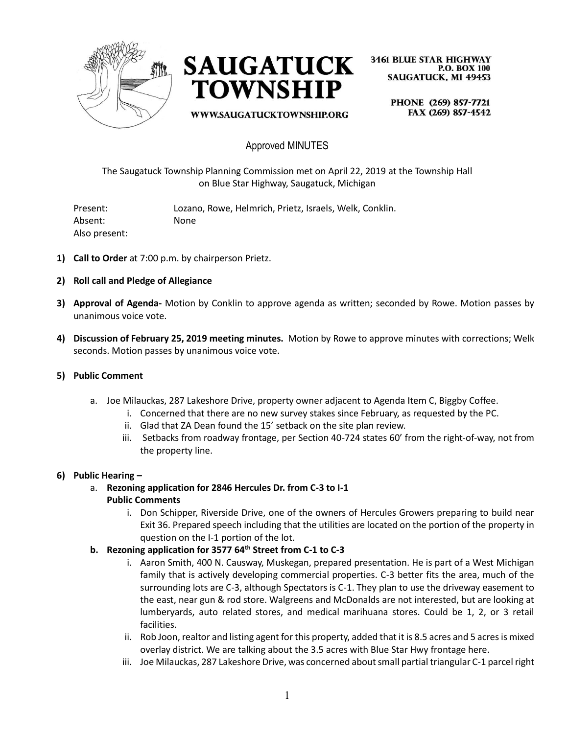



**3461 BLUE STAR HIGHWAY P.O. BOX 100 SAUGATUCK, MI 49453** 

PHONE (269) 857-7721 FAX (269) 857-4542 WWW.SAUGATUCKTOWNSHIP.ORG

# Approved MINUTES

The Saugatuck Township Planning Commission met on April 22, 2019 at the Township Hall on Blue Star Highway, Saugatuck, Michigan

Present: Lozano, Rowe, Helmrich, Prietz, Israels, Welk, Conklin. Absent: None Also present:

- **1) Call to Order** at 7:00 p.m. by chairperson Prietz.
- **2) Roll call and Pledge of Allegiance**
- **3) Approval of Agenda-** Motion by Conklin to approve agenda as written; seconded by Rowe. Motion passes by unanimous voice vote.
- **4) Discussion of February 25, 2019 meeting minutes.** Motion by Rowe to approve minutes with corrections; Welk seconds. Motion passes by unanimous voice vote.

#### **5) Public Comment**

- a. Joe Milauckas, 287 Lakeshore Drive, property owner adjacent to Agenda Item C, Biggby Coffee.
	- i. Concerned that there are no new survey stakes since February, as requested by the PC.
	- ii. Glad that ZA Dean found the 15' setback on the site plan review.
	- iii. Setbacks from roadway frontage, per Section 40-724 states 60' from the right-of-way, not from the property line.

#### **6) Public Hearing –**

a. **Rezoning application for 2846 Hercules Dr. from C-3 to I-1**

### **Public Comments**

i. Don Schipper, Riverside Drive, one of the owners of Hercules Growers preparing to build near Exit 36. Prepared speech including that the utilities are located on the portion of the property in question on the I-1 portion of the lot.

### **b. Rezoning application for 3577 64th Street from C-1 to C-3**

- i. Aaron Smith, 400 N. Causway, Muskegan, prepared presentation. He is part of a West Michigan family that is actively developing commercial properties. C-3 better fits the area, much of the surrounding lots are C-3, although Spectators is C-1. They plan to use the driveway easement to the east, near gun & rod store. Walgreens and McDonalds are not interested, but are looking at lumberyards, auto related stores, and medical marihuana stores. Could be 1, 2, or 3 retail facilities.
- ii. Rob Joon, realtor and listing agent for this property, added that it is 8.5 acres and 5 acres is mixed overlay district. We are talking about the 3.5 acres with Blue Star Hwy frontage here.
- iii. Joe Milauckas, 287 Lakeshore Drive, was concerned about small partial triangular C-1 parcel right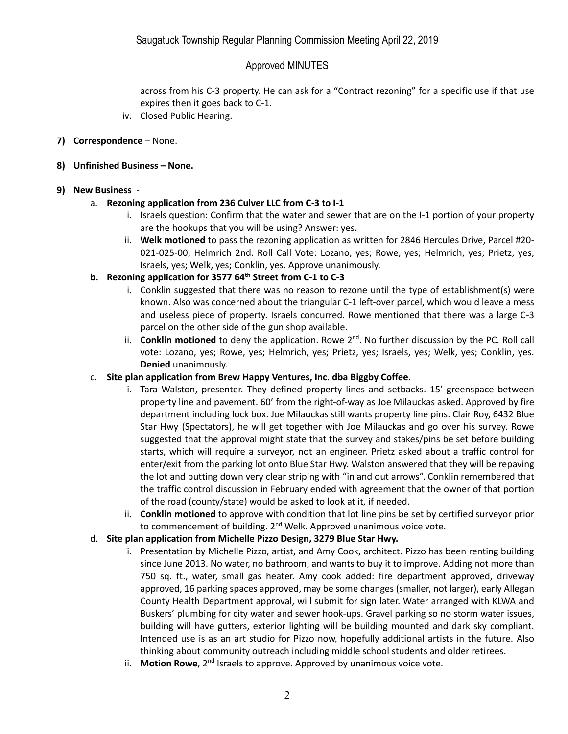## Approved MINUTES

across from his C-3 property. He can ask for a "Contract rezoning" for a specific use if that use expires then it goes back to C-1.

- iv. Closed Public Hearing.
- **7) Correspondence** None.

### **8) Unfinished Business – None.**

### **9) New Business** -

### a. **Rezoning application from 236 Culver LLC from C-3 to I-1**

- i. Israels question: Confirm that the water and sewer that are on the I-1 portion of your property are the hookups that you will be using? Answer: yes.
- ii. **Welk motioned** to pass the rezoning application as written for 2846 Hercules Drive, Parcel #20- 021-025-00, Helmrich 2nd. Roll Call Vote: Lozano, yes; Rowe, yes; Helmrich, yes; Prietz, yes; Israels, yes; Welk, yes; Conklin, yes. Approve unanimously.
- **b. Rezoning application for 3577 64th Street from C-1 to C-3**
	- i. Conklin suggested that there was no reason to rezone until the type of establishment(s) were known. Also was concerned about the triangular C-1 left-over parcel, which would leave a mess and useless piece of property. Israels concurred. Rowe mentioned that there was a large C-3 parcel on the other side of the gun shop available.
	- ii. **Conklin motioned** to deny the application. Rowe 2<sup>nd</sup>. No further discussion by the PC. Roll call vote: Lozano, yes; Rowe, yes; Helmrich, yes; Prietz, yes; Israels, yes; Welk, yes; Conklin, yes. **Denied** unanimously.

### c. **Site plan application from Brew Happy Ventures, Inc. dba Biggby Coffee.**

- i. Tara Walston, presenter. They defined property lines and setbacks. 15' greenspace between property line and pavement. 60' from the right-of-way as Joe Milauckas asked. Approved by fire department including lock box. Joe Milauckas still wants property line pins. Clair Roy, 6432 Blue Star Hwy (Spectators), he will get together with Joe Milauckas and go over his survey. Rowe suggested that the approval might state that the survey and stakes/pins be set before building starts, which will require a surveyor, not an engineer. Prietz asked about a traffic control for enter/exit from the parking lot onto Blue Star Hwy. Walston answered that they will be repaving the lot and putting down very clear striping with "in and out arrows". Conklin remembered that the traffic control discussion in February ended with agreement that the owner of that portion of the road (county/state) would be asked to look at it, if needed.
- ii. **Conklin motioned** to approve with condition that lot line pins be set by certified surveyor prior to commencement of building. 2<sup>nd</sup> Welk. Approved unanimous voice vote.

### d. **Site plan application from Michelle Pizzo Design, 3279 Blue Star Hwy.**

- i. Presentation by Michelle Pizzo, artist, and Amy Cook, architect. Pizzo has been renting building since June 2013. No water, no bathroom, and wants to buy it to improve. Adding not more than 750 sq. ft., water, small gas heater. Amy cook added: fire department approved, driveway approved, 16 parking spaces approved, may be some changes (smaller, not larger), early Allegan County Health Department approval, will submit for sign later. Water arranged with KLWA and Buskers' plumbing for city water and sewer hook-ups. Gravel parking so no storm water issues, building will have gutters, exterior lighting will be building mounted and dark sky compliant. Intended use is as an art studio for Pizzo now, hopefully additional artists in the future. Also thinking about community outreach including middle school students and older retirees.
- ii. **Motion Rowe**, 2<sup>nd</sup> Israels to approve. Approved by unanimous voice vote.